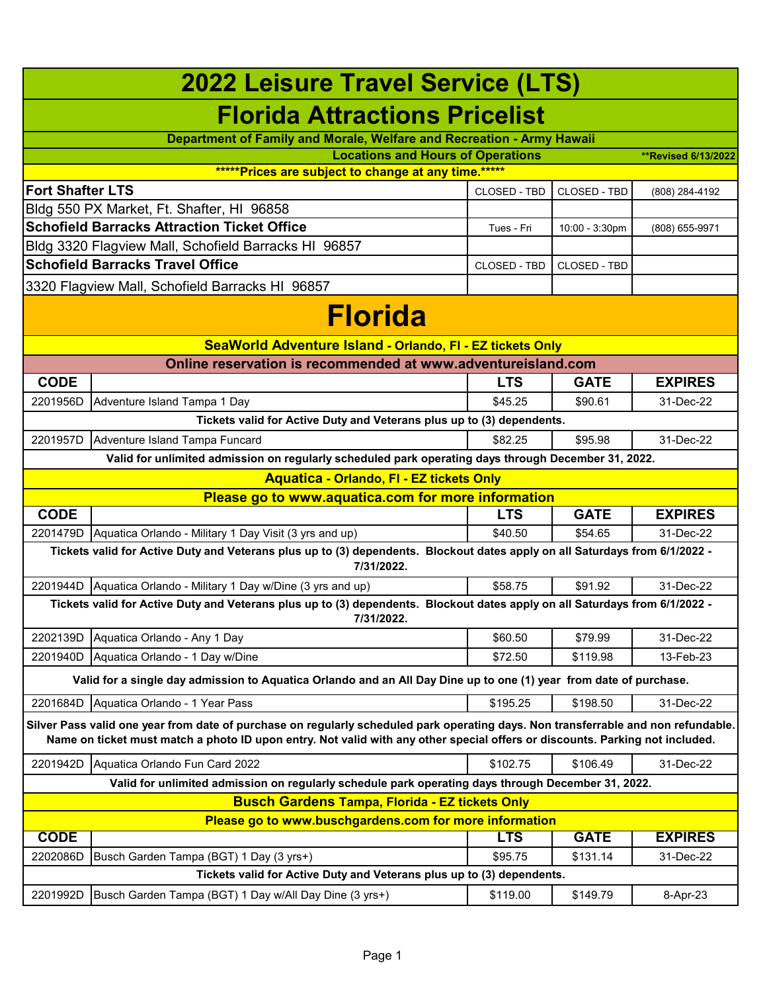| <b>2022 Leisure Travel Service (LTS)</b>                                                                                                                                                                                                                           |                                                                                                                                           |              |                     |                            |  |
|--------------------------------------------------------------------------------------------------------------------------------------------------------------------------------------------------------------------------------------------------------------------|-------------------------------------------------------------------------------------------------------------------------------------------|--------------|---------------------|----------------------------|--|
|                                                                                                                                                                                                                                                                    | <b>Florida Attractions Pricelist</b>                                                                                                      |              |                     |                            |  |
|                                                                                                                                                                                                                                                                    | Department of Family and Morale, Welfare and Recreation - Army Hawaii                                                                     |              |                     |                            |  |
|                                                                                                                                                                                                                                                                    | <b>Locations and Hours of Operations</b>                                                                                                  |              |                     | <b>**Revised 6/13/2022</b> |  |
|                                                                                                                                                                                                                                                                    | *****Prices are subject to change at any time.*****                                                                                       |              |                     |                            |  |
| <b>Fort Shafter LTS</b>                                                                                                                                                                                                                                            |                                                                                                                                           | CLOSED - TBD | <b>CLOSED - TBD</b> | (808) 284-4192             |  |
|                                                                                                                                                                                                                                                                    | Bldg 550 PX Market, Ft. Shafter, HI 96858                                                                                                 |              |                     |                            |  |
|                                                                                                                                                                                                                                                                    | <b>Schofield Barracks Attraction Ticket Office</b>                                                                                        | Tues - Fri   | 10:00 - 3:30pm      | (808) 655-9971             |  |
|                                                                                                                                                                                                                                                                    | Bldg 3320 Flagview Mall, Schofield Barracks HI 96857                                                                                      |              |                     |                            |  |
|                                                                                                                                                                                                                                                                    | <b>Schofield Barracks Travel Office</b>                                                                                                   | CLOSED - TBD | <b>CLOSED - TBD</b> |                            |  |
|                                                                                                                                                                                                                                                                    | 3320 Flagview Mall, Schofield Barracks HI 96857                                                                                           |              |                     |                            |  |
|                                                                                                                                                                                                                                                                    | <b>Florida</b>                                                                                                                            |              |                     |                            |  |
|                                                                                                                                                                                                                                                                    | SeaWorld Adventure Island - Orlando, FI - EZ tickets Only                                                                                 |              |                     |                            |  |
|                                                                                                                                                                                                                                                                    | Online reservation is recommended at www.adventureisland.com                                                                              |              |                     |                            |  |
| <b>CODE</b>                                                                                                                                                                                                                                                        |                                                                                                                                           | <b>LTS</b>   | <b>GATE</b>         | <b>EXPIRES</b>             |  |
| 2201956D                                                                                                                                                                                                                                                           | Adventure Island Tampa 1 Day                                                                                                              | \$45.25      | \$90.61             | 31-Dec-22                  |  |
|                                                                                                                                                                                                                                                                    | Tickets valid for Active Duty and Veterans plus up to (3) dependents.                                                                     |              |                     |                            |  |
| 2201957D                                                                                                                                                                                                                                                           | Adventure Island Tampa Funcard                                                                                                            | \$82.25      | \$95.98             | 31-Dec-22                  |  |
|                                                                                                                                                                                                                                                                    | Valid for unlimited admission on regularly scheduled park operating days through December 31, 2022.                                       |              |                     |                            |  |
|                                                                                                                                                                                                                                                                    | <b>Aquatica - Orlando, FI - EZ tickets Only</b>                                                                                           |              |                     |                            |  |
|                                                                                                                                                                                                                                                                    | Please go to www.aquatica.com for more information                                                                                        |              |                     |                            |  |
| <b>CODE</b>                                                                                                                                                                                                                                                        |                                                                                                                                           | <b>LTS</b>   | <b>GATE</b>         | <b>EXPIRES</b>             |  |
| 2201479D                                                                                                                                                                                                                                                           | Aquatica Orlando - Military 1 Day Visit (3 yrs and up)                                                                                    | \$40.50      | \$54.65             | 31-Dec-22                  |  |
|                                                                                                                                                                                                                                                                    | Tickets valid for Active Duty and Veterans plus up to (3) dependents. Blockout dates apply on all Saturdays from 6/1/2022 -<br>7/31/2022. |              |                     |                            |  |
|                                                                                                                                                                                                                                                                    | 2201944D   Aquatica Orlando - Military 1 Day w/Dine (3 yrs and up)                                                                        | \$58.75      | \$91.92             | 31-Dec-22                  |  |
|                                                                                                                                                                                                                                                                    | Tickets valid for Active Duty and Veterans plus up to (3) dependents. Blockout dates apply on all Saturdays from 6/1/2022 -<br>7/31/2022. |              |                     |                            |  |
| 2202139D                                                                                                                                                                                                                                                           | Aquatica Orlando - Any 1 Day                                                                                                              | \$60.50      | \$79.99             | 31-Dec-22                  |  |
| 2201940D                                                                                                                                                                                                                                                           | Aquatica Orlando - 1 Day w/Dine                                                                                                           | \$72.50      | \$119.98            | 13-Feb-23                  |  |
|                                                                                                                                                                                                                                                                    | Valid for a single day admission to Aquatica Orlando and an All Day Dine up to one (1) year from date of purchase.                        |              |                     |                            |  |
| 2201684D                                                                                                                                                                                                                                                           | Aquatica Orlando - 1 Year Pass                                                                                                            | \$195.25     | \$198.50            | 31-Dec-22                  |  |
| Silver Pass valid one year from date of purchase on regularly scheduled park operating days. Non transferrable and non refundable.<br>Name on ticket must match a photo ID upon entry. Not valid with any other special offers or discounts. Parking not included. |                                                                                                                                           |              |                     |                            |  |
| 2201942D                                                                                                                                                                                                                                                           | Aquatica Orlando Fun Card 2022                                                                                                            | \$102.75     | \$106.49            | 31-Dec-22                  |  |
|                                                                                                                                                                                                                                                                    | Valid for unlimited admission on regularly schedule park operating days through December 31, 2022.                                        |              |                     |                            |  |
|                                                                                                                                                                                                                                                                    | <b>Busch Gardens Tampa, Florida - EZ tickets Only</b>                                                                                     |              |                     |                            |  |
| Please go to www.buschgardens.com for more information                                                                                                                                                                                                             |                                                                                                                                           |              |                     |                            |  |
| <b>CODE</b>                                                                                                                                                                                                                                                        |                                                                                                                                           | <b>LTS</b>   | <b>GATE</b>         | <b>EXPIRES</b>             |  |
| 2202086D                                                                                                                                                                                                                                                           | Busch Garden Tampa (BGT) 1 Day (3 yrs+)                                                                                                   | \$95.75      | \$131.14            | 31-Dec-22                  |  |
|                                                                                                                                                                                                                                                                    | Tickets valid for Active Duty and Veterans plus up to (3) dependents.                                                                     |              |                     |                            |  |
| 2201992D                                                                                                                                                                                                                                                           | Busch Garden Tampa (BGT) 1 Day w/All Day Dine (3 yrs+)                                                                                    | \$119.00     | \$149.79            | 8-Apr-23                   |  |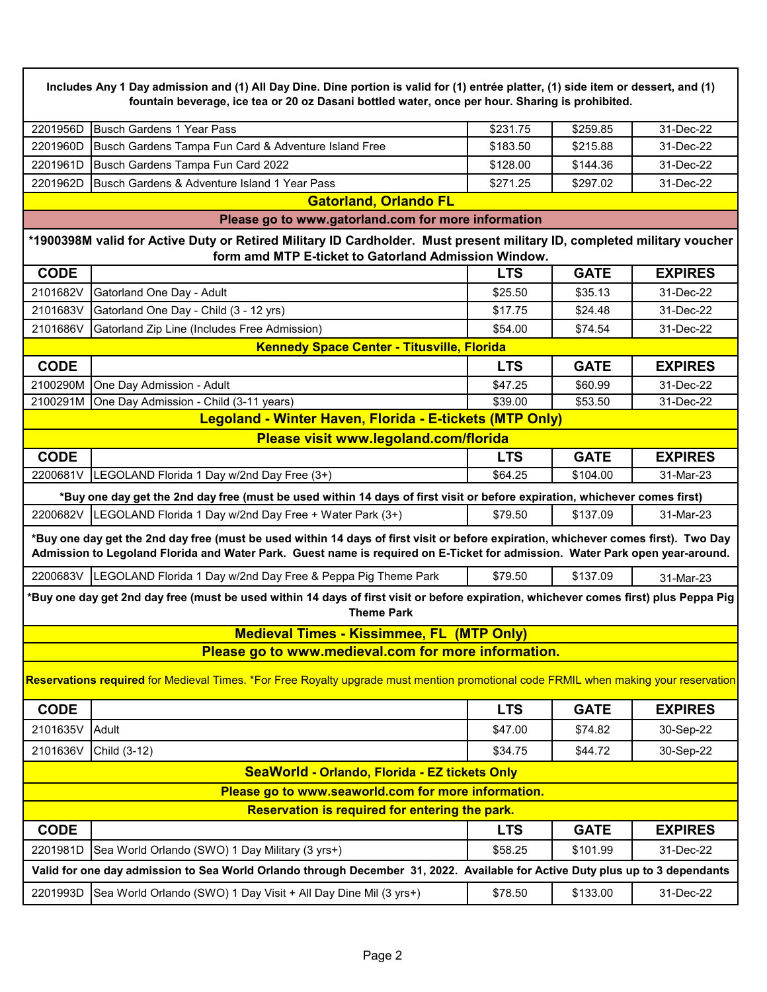**Includes Any 1 Day admission and (1) All Day Dine. Dine portion is valid for (1) entrée platter, (1) side item or dessert, and (1) fountain beverage, ice tea or 20 oz Dasani bottled water, once per hour. Sharing is prohibited.**

|                              | \$231.75                                                                                                               | \$259.85 | 31-Dec-22 |  |
|------------------------------|------------------------------------------------------------------------------------------------------------------------|----------|-----------|--|
|                              | \$183.50                                                                                                               | \$215.88 | 31-Dec-22 |  |
|                              | \$128.00                                                                                                               | \$144.36 | 31-Dec-22 |  |
|                              | \$271.25                                                                                                               | \$297.02 | 31-Dec-22 |  |
| <b>Gatorland, Orlando FL</b> |                                                                                                                        |          |           |  |
|                              | 2201960D Busch Gardens Tampa Fun Card & Adventure Island Free<br>2201962D Busch Gardens & Adventure Island 1 Year Pass |          |           |  |

**Please go to www.gatorland.com for more information**

## **\*1900398M valid for Active Duty or Retired Military ID Cardholder. Must present military ID, completed military voucher form amd MTP E-ticket to Gatorland Admission Window.**

| <b>CODE</b>                                                                                                                  |                                                                                                                                                            | <b>LTS</b> | <b>GATE</b> | <b>EXPIRES</b> |
|------------------------------------------------------------------------------------------------------------------------------|------------------------------------------------------------------------------------------------------------------------------------------------------------|------------|-------------|----------------|
| 2101682V                                                                                                                     | Gatorland One Day - Adult                                                                                                                                  | \$25.50    | \$35.13     | 31-Dec-22      |
| 2101683V                                                                                                                     | Gatorland One Day - Child (3 - 12 yrs)                                                                                                                     | \$17.75    | \$24.48     | 31-Dec-22      |
| 2101686V                                                                                                                     | Gatorland Zip Line (Includes Free Admission)                                                                                                               | \$54.00    | \$74.54     | 31-Dec-22      |
|                                                                                                                              | <b>Kennedy Space Center - Titusville, Florida</b>                                                                                                          |            |             |                |
| <b>CODE</b>                                                                                                                  |                                                                                                                                                            | <b>LTS</b> | <b>GATE</b> | <b>EXPIRES</b> |
| 2100290M                                                                                                                     | One Day Admission - Adult                                                                                                                                  | \$47.25    | \$60.99     | 31-Dec-22      |
| 2100291M                                                                                                                     | One Day Admission - Child (3-11 years)                                                                                                                     | \$39.00    | \$53.50     | 31-Dec-22      |
|                                                                                                                              | Legoland - Winter Haven, Florida - E-tickets (MTP Only)                                                                                                    |            |             |                |
|                                                                                                                              | Please visit www.legoland.com/florida                                                                                                                      |            |             |                |
| <b>CODE</b>                                                                                                                  |                                                                                                                                                            | <b>LTS</b> | <b>GATE</b> | <b>EXPIRES</b> |
| 2200681V                                                                                                                     | LEGOLAND Florida 1 Day w/2nd Day Free (3+)                                                                                                                 | \$64.25    | \$104.00    | 31-Mar-23      |
|                                                                                                                              | *Buy one day get the 2nd day free (must be used within 14 days of first visit or before expiration, whichever comes first)                                 |            |             |                |
|                                                                                                                              | 2200682V LEGOLAND Florida 1 Day w/2nd Day Free + Water Park (3+)                                                                                           | \$79.50    | \$137.09    | 31-Mar-23      |
|                                                                                                                              | *Buy one day get the 2nd day free (must be used within 14 days of first visit or before expiration, whichever comes first). Two Day                        |            |             |                |
| Admission to Legoland Florida and Water Park. Guest name is required on E-Ticket for admission. Water Park open year-around. |                                                                                                                                                            |            |             |                |
|                                                                                                                              |                                                                                                                                                            |            |             |                |
| 2200683V                                                                                                                     | LEGOLAND Florida 1 Day w/2nd Day Free & Peppa Pig Theme Park                                                                                               | \$79.50    | \$137.09    | 31-Mar-23      |
|                                                                                                                              | *Buy one day get 2nd day free (must be used within 14 days of first visit or before expiration, whichever comes first) plus Peppa Pig<br><b>Theme Park</b> |            |             |                |
|                                                                                                                              | <b>Medieval Times - Kissimmee, FL (MTP Only)</b>                                                                                                           |            |             |                |
|                                                                                                                              | Please go to www.medieval.com for more information.                                                                                                        |            |             |                |
|                                                                                                                              | Reservations required for Medieval Times. *For Free Royalty upgrade must mention promotional code FRMIL when making your reservation                       |            |             |                |
| <b>CODE</b>                                                                                                                  |                                                                                                                                                            | <b>LTS</b> | <b>GATE</b> | <b>EXPIRES</b> |
| 2101635V                                                                                                                     | Adult                                                                                                                                                      | \$47.00    | \$74.82     | 30-Sep-22      |
| 2101636V                                                                                                                     | Child (3-12)                                                                                                                                               | \$34.75    | \$44.72     | 30-Sep-22      |
|                                                                                                                              | SeaWorld - Orlando, Florida - EZ tickets Only                                                                                                              |            |             |                |
|                                                                                                                              | Please go to www.seaworld.com for more information.                                                                                                        |            |             |                |
|                                                                                                                              | Reservation is required for entering the park.                                                                                                             |            |             |                |
| <b>CODE</b>                                                                                                                  |                                                                                                                                                            | <b>LTS</b> | <b>GATE</b> | <b>EXPIRES</b> |
| 2201981D                                                                                                                     | Sea World Orlando (SWO) 1 Day Military (3 yrs+)                                                                                                            | \$58.25    | \$101.99    | 31-Dec-22      |
|                                                                                                                              | Valid for one day admission to Sea World Orlando through December 31, 2022. Available for Active Duty plus up to 3 dependants                              |            |             |                |
| 2201993D                                                                                                                     | Sea World Orlando (SWO) 1 Day Visit + All Day Dine Mil (3 yrs+)                                                                                            | \$78.50    | \$133.00    | 31-Dec-22      |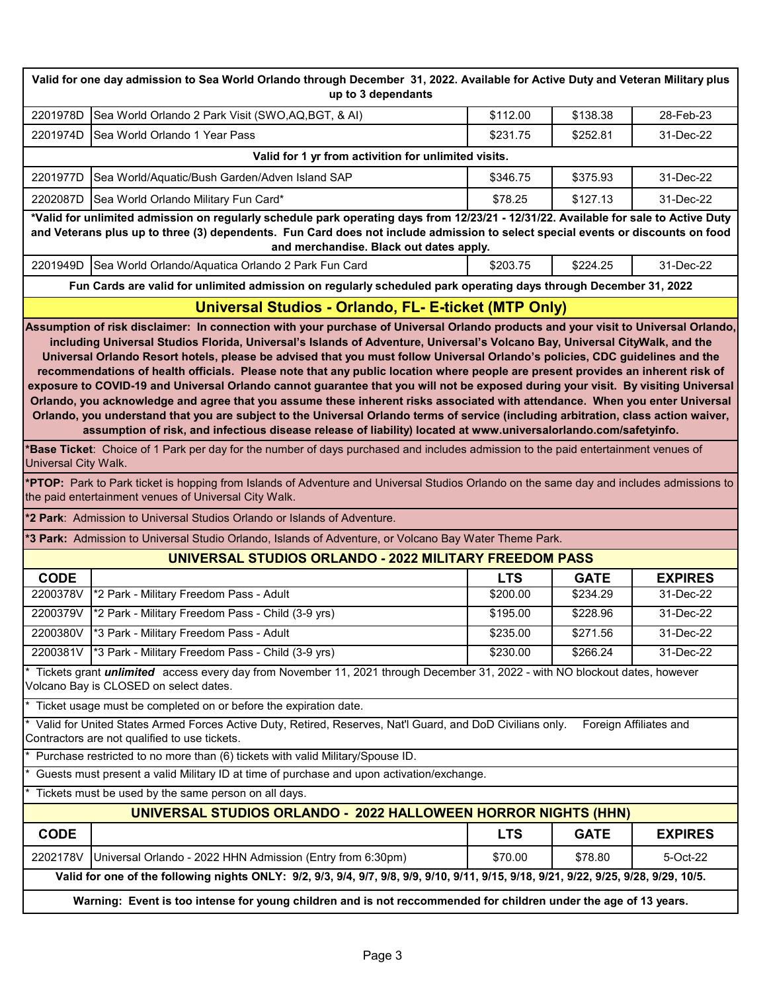| Valid for one day admission to Sea World Orlando through December 31, 2022. Available for Active Duty and Veteran Military plus<br>up to 3 dependants |                                                                                                                                                                                                                                                                                                                                                                                                                                                                                                                                                                                                                                                                                                                                                                                                                                                                                                                                                                                                                                                                      |                      |                      |                        |  |  |
|-------------------------------------------------------------------------------------------------------------------------------------------------------|----------------------------------------------------------------------------------------------------------------------------------------------------------------------------------------------------------------------------------------------------------------------------------------------------------------------------------------------------------------------------------------------------------------------------------------------------------------------------------------------------------------------------------------------------------------------------------------------------------------------------------------------------------------------------------------------------------------------------------------------------------------------------------------------------------------------------------------------------------------------------------------------------------------------------------------------------------------------------------------------------------------------------------------------------------------------|----------------------|----------------------|------------------------|--|--|
| 2201978D                                                                                                                                              | Sea World Orlando 2 Park Visit (SWO, AQ, BGT, & AI)                                                                                                                                                                                                                                                                                                                                                                                                                                                                                                                                                                                                                                                                                                                                                                                                                                                                                                                                                                                                                  | \$112.00             | \$138.38             | 28-Feb-23              |  |  |
| 2201974D                                                                                                                                              | Sea World Orlando 1 Year Pass                                                                                                                                                                                                                                                                                                                                                                                                                                                                                                                                                                                                                                                                                                                                                                                                                                                                                                                                                                                                                                        | \$231.75             | \$252.81             | 31-Dec-22              |  |  |
|                                                                                                                                                       | Valid for 1 yr from activition for unlimited visits.                                                                                                                                                                                                                                                                                                                                                                                                                                                                                                                                                                                                                                                                                                                                                                                                                                                                                                                                                                                                                 |                      |                      |                        |  |  |
| 2201977D                                                                                                                                              | Sea World/Aquatic/Bush Garden/Adven Island SAP                                                                                                                                                                                                                                                                                                                                                                                                                                                                                                                                                                                                                                                                                                                                                                                                                                                                                                                                                                                                                       | \$346.75             | \$375.93             | 31-Dec-22              |  |  |
| 2202087D                                                                                                                                              | Sea World Orlando Military Fun Card*                                                                                                                                                                                                                                                                                                                                                                                                                                                                                                                                                                                                                                                                                                                                                                                                                                                                                                                                                                                                                                 | \$78.25              | \$127.13             | 31-Dec-22              |  |  |
|                                                                                                                                                       | *Valid for unlimited admission on regularly schedule park operating days from 12/23/21 - 12/31/22. Available for sale to Active Duty                                                                                                                                                                                                                                                                                                                                                                                                                                                                                                                                                                                                                                                                                                                                                                                                                                                                                                                                 |                      |                      |                        |  |  |
|                                                                                                                                                       | and Veterans plus up to three (3) dependents. Fun Card does not include admission to select special events or discounts on food<br>and merchandise. Black out dates apply.                                                                                                                                                                                                                                                                                                                                                                                                                                                                                                                                                                                                                                                                                                                                                                                                                                                                                           |                      |                      |                        |  |  |
| 2201949D                                                                                                                                              | Sea World Orlando/Aquatica Orlando 2 Park Fun Card                                                                                                                                                                                                                                                                                                                                                                                                                                                                                                                                                                                                                                                                                                                                                                                                                                                                                                                                                                                                                   | \$203.75             | \$224.25             | 31-Dec-22              |  |  |
|                                                                                                                                                       | Fun Cards are valid for unlimited admission on regularly scheduled park operating days through December 31, 2022                                                                                                                                                                                                                                                                                                                                                                                                                                                                                                                                                                                                                                                                                                                                                                                                                                                                                                                                                     |                      |                      |                        |  |  |
|                                                                                                                                                       | Universal Studios - Orlando, FL- E-ticket (MTP Only)                                                                                                                                                                                                                                                                                                                                                                                                                                                                                                                                                                                                                                                                                                                                                                                                                                                                                                                                                                                                                 |                      |                      |                        |  |  |
|                                                                                                                                                       | Assumption of risk disclaimer: In connection with your purchase of Universal Orlando products and your visit to Universal Orlando,<br>including Universal Studios Florida, Universal's Islands of Adventure, Universal's Volcano Bay, Universal CityWalk, and the<br>Universal Orlando Resort hotels, please be advised that you must follow Universal Orlando's policies, CDC guidelines and the<br>recommendations of health officials. Please note that any public location where people are present provides an inherent risk of<br>exposure to COVID-19 and Universal Orlando cannot guarantee that you will not be exposed during your visit. By visiting Universal<br>Orlando, you acknowledge and agree that you assume these inherent risks associated with attendance. When you enter Universal<br>Orlando, you understand that you are subject to the Universal Orlando terms of service (including arbitration, class action waiver,<br>assumption of risk, and infectious disease release of liability) located at www.universalorlando.com/safetyinfo. |                      |                      |                        |  |  |
| Universal City Walk.                                                                                                                                  | *Base Ticket: Choice of 1 Park per day for the number of days purchased and includes admission to the paid entertainment venues of                                                                                                                                                                                                                                                                                                                                                                                                                                                                                                                                                                                                                                                                                                                                                                                                                                                                                                                                   |                      |                      |                        |  |  |
|                                                                                                                                                       | *PTOP: Park to Park ticket is hopping from Islands of Adventure and Universal Studios Orlando on the same day and includes admissions to<br>the paid entertainment venues of Universal City Walk.                                                                                                                                                                                                                                                                                                                                                                                                                                                                                                                                                                                                                                                                                                                                                                                                                                                                    |                      |                      |                        |  |  |
|                                                                                                                                                       | <b>*2 Park:</b> Admission to Universal Studios Orlando or Islands of Adventure.                                                                                                                                                                                                                                                                                                                                                                                                                                                                                                                                                                                                                                                                                                                                                                                                                                                                                                                                                                                      |                      |                      |                        |  |  |
|                                                                                                                                                       | *3 Park: Admission to Universal Studio Orlando, Islands of Adventure, or Volcano Bay Water Theme Park.                                                                                                                                                                                                                                                                                                                                                                                                                                                                                                                                                                                                                                                                                                                                                                                                                                                                                                                                                               |                      |                      |                        |  |  |
|                                                                                                                                                       | UNIVERSAL STUDIOS ORLANDO - 2022 MILITARY FREEDOM PASS                                                                                                                                                                                                                                                                                                                                                                                                                                                                                                                                                                                                                                                                                                                                                                                                                                                                                                                                                                                                               |                      |                      |                        |  |  |
| <b>CODE</b>                                                                                                                                           |                                                                                                                                                                                                                                                                                                                                                                                                                                                                                                                                                                                                                                                                                                                                                                                                                                                                                                                                                                                                                                                                      | <b>LTS</b>           | <b>GATE</b>          | <b>EXPIRES</b>         |  |  |
| 2200378V                                                                                                                                              | *2 Park - Military Freedom Pass - Adult                                                                                                                                                                                                                                                                                                                                                                                                                                                                                                                                                                                                                                                                                                                                                                                                                                                                                                                                                                                                                              | \$200.00             | \$234.29             | 31-Dec-22              |  |  |
| 2200379V                                                                                                                                              | *2 Park - Military Freedom Pass - Child (3-9 yrs)                                                                                                                                                                                                                                                                                                                                                                                                                                                                                                                                                                                                                                                                                                                                                                                                                                                                                                                                                                                                                    | $\overline{$}195.00$ | $\overline{$}228.96$ | 31-Dec-22              |  |  |
|                                                                                                                                                       | 2200380V *3 Park - Military Freedom Pass - Adult                                                                                                                                                                                                                                                                                                                                                                                                                                                                                                                                                                                                                                                                                                                                                                                                                                                                                                                                                                                                                     | \$235.00             | \$271.56             | 31-Dec-22              |  |  |
|                                                                                                                                                       | 2200381V  *3 Park - Military Freedom Pass - Child (3-9 yrs)                                                                                                                                                                                                                                                                                                                                                                                                                                                                                                                                                                                                                                                                                                                                                                                                                                                                                                                                                                                                          | \$230.00             | \$266.24             | 31-Dec-22              |  |  |
|                                                                                                                                                       | * Tickets grant <i>unlimited</i> access every day from November 11, 2021 through December 31, 2022 - with NO blockout dates, however<br>Volcano Bay is CLOSED on select dates.                                                                                                                                                                                                                                                                                                                                                                                                                                                                                                                                                                                                                                                                                                                                                                                                                                                                                       |                      |                      |                        |  |  |
|                                                                                                                                                       | Ticket usage must be completed on or before the expiration date.                                                                                                                                                                                                                                                                                                                                                                                                                                                                                                                                                                                                                                                                                                                                                                                                                                                                                                                                                                                                     |                      |                      |                        |  |  |
|                                                                                                                                                       | Valid for United States Armed Forces Active Duty, Retired, Reserves, Nat'l Guard, and DoD Civilians only.<br>Contractors are not qualified to use tickets.                                                                                                                                                                                                                                                                                                                                                                                                                                                                                                                                                                                                                                                                                                                                                                                                                                                                                                           |                      |                      | Foreign Affiliates and |  |  |
|                                                                                                                                                       | Purchase restricted to no more than (6) tickets with valid Military/Spouse ID.                                                                                                                                                                                                                                                                                                                                                                                                                                                                                                                                                                                                                                                                                                                                                                                                                                                                                                                                                                                       |                      |                      |                        |  |  |
|                                                                                                                                                       | Guests must present a valid Military ID at time of purchase and upon activation/exchange.                                                                                                                                                                                                                                                                                                                                                                                                                                                                                                                                                                                                                                                                                                                                                                                                                                                                                                                                                                            |                      |                      |                        |  |  |
|                                                                                                                                                       | Tickets must be used by the same person on all days.                                                                                                                                                                                                                                                                                                                                                                                                                                                                                                                                                                                                                                                                                                                                                                                                                                                                                                                                                                                                                 |                      |                      |                        |  |  |
| UNIVERSAL STUDIOS ORLANDO - 2022 HALLOWEEN HORROR NIGHTS (HHN)                                                                                        |                                                                                                                                                                                                                                                                                                                                                                                                                                                                                                                                                                                                                                                                                                                                                                                                                                                                                                                                                                                                                                                                      |                      |                      |                        |  |  |
| <b>CODE</b>                                                                                                                                           |                                                                                                                                                                                                                                                                                                                                                                                                                                                                                                                                                                                                                                                                                                                                                                                                                                                                                                                                                                                                                                                                      | <b>LTS</b>           | <b>GATE</b>          | <b>EXPIRES</b>         |  |  |
| 2202178V                                                                                                                                              | Universal Orlando - 2022 HHN Admission (Entry from 6:30pm)                                                                                                                                                                                                                                                                                                                                                                                                                                                                                                                                                                                                                                                                                                                                                                                                                                                                                                                                                                                                           | \$70.00              | \$78.80              | 5-Oct-22               |  |  |
|                                                                                                                                                       | Valid for one of the following nights ONLY: 9/2, 9/3, 9/4, 9/7, 9/8, 9/9, 9/10, 9/11, 9/15, 9/18, 9/21, 9/22, 9/25, 9/28, 9/29, 10/5.                                                                                                                                                                                                                                                                                                                                                                                                                                                                                                                                                                                                                                                                                                                                                                                                                                                                                                                                |                      |                      |                        |  |  |
| Warning: Event is too intense for young children and is not reccommended for children under the age of 13 years.                                      |                                                                                                                                                                                                                                                                                                                                                                                                                                                                                                                                                                                                                                                                                                                                                                                                                                                                                                                                                                                                                                                                      |                      |                      |                        |  |  |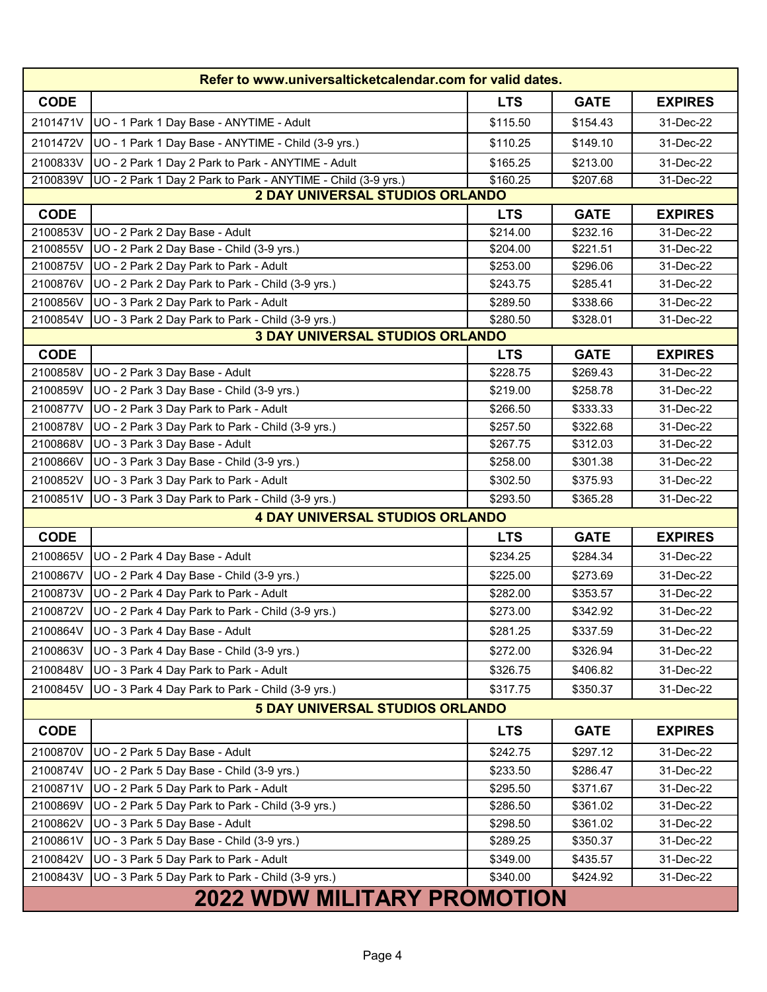| Refer to www.universalticketcalendar.com for valid dates. |                                                               |            |             |                |
|-----------------------------------------------------------|---------------------------------------------------------------|------------|-------------|----------------|
| <b>CODE</b>                                               |                                                               | <b>LTS</b> | <b>GATE</b> | <b>EXPIRES</b> |
| 2101471V                                                  | UO - 1 Park 1 Day Base - ANYTIME - Adult                      | \$115.50   | \$154.43    | 31-Dec-22      |
| 2101472V                                                  | UO - 1 Park 1 Day Base - ANYTIME - Child (3-9 yrs.)           | \$110.25   | \$149.10    | 31-Dec-22      |
| 2100833V                                                  | UO - 2 Park 1 Day 2 Park to Park - ANYTIME - Adult            | \$165.25   | \$213.00    | 31-Dec-22      |
| 2100839V                                                  | UO - 2 Park 1 Day 2 Park to Park - ANYTIME - Child (3-9 yrs.) | \$160.25   | \$207.68    | 31-Dec-22      |
|                                                           | 2 DAY UNIVERSAL STUDIOS ORLANDO                               |            |             |                |
| <b>CODE</b>                                               |                                                               | <b>LTS</b> | <b>GATE</b> | <b>EXPIRES</b> |
| 2100853V                                                  | UO - 2 Park 2 Day Base - Adult                                | \$214.00   | \$232.16    | 31-Dec-22      |
| 2100855V                                                  | UO - 2 Park 2 Day Base - Child (3-9 yrs.)                     | \$204.00   | \$221.51    | 31-Dec-22      |
| 2100875V                                                  | UO - 2 Park 2 Day Park to Park - Adult                        | \$253.00   | \$296.06    | 31-Dec-22      |
| 2100876V                                                  | UO - 2 Park 2 Day Park to Park - Child (3-9 yrs.)             | \$243.75   | \$285.41    | 31-Dec-22      |
| 2100856V                                                  | UO - 3 Park 2 Day Park to Park - Adult                        | \$289.50   | \$338.66    | 31-Dec-22      |
| 2100854V                                                  | UO - 3 Park 2 Day Park to Park - Child (3-9 yrs.)             | \$280.50   | \$328.01    | 31-Dec-22      |
|                                                           | <b>3 DAY UNIVERSAL STUDIOS ORLANDO</b>                        |            |             |                |
| <b>CODE</b>                                               |                                                               | <b>LTS</b> | <b>GATE</b> | <b>EXPIRES</b> |
| 2100858V                                                  | UO - 2 Park 3 Day Base - Adult                                | \$228.75   | \$269.43    | 31-Dec-22      |
| 2100859V                                                  | UO - 2 Park 3 Day Base - Child (3-9 yrs.)                     | \$219.00   | \$258.78    | 31-Dec-22      |
| 2100877V                                                  | UO - 2 Park 3 Day Park to Park - Adult                        | \$266.50   | \$333.33    | 31-Dec-22      |
| 2100878V                                                  | UO - 2 Park 3 Day Park to Park - Child (3-9 yrs.)             | \$257.50   | \$322.68    | 31-Dec-22      |
| 2100868V                                                  | UO - 3 Park 3 Day Base - Adult                                | \$267.75   | \$312.03    | 31-Dec-22      |
| 2100866V                                                  | UO - 3 Park 3 Day Base - Child (3-9 yrs.)                     | \$258.00   | \$301.38    | 31-Dec-22      |
| 2100852V                                                  | UO - 3 Park 3 Day Park to Park - Adult                        | \$302.50   | \$375.93    | 31-Dec-22      |
| 2100851V                                                  | UO - 3 Park 3 Day Park to Park - Child (3-9 yrs.)             | \$293.50   | \$365.28    | 31-Dec-22      |
|                                                           | <b>4 DAY UNIVERSAL STUDIOS ORLANDO</b>                        |            |             |                |
| <b>CODE</b>                                               |                                                               | <b>LTS</b> | <b>GATE</b> | <b>EXPIRES</b> |
| 2100865V                                                  | UO - 2 Park 4 Day Base - Adult                                | \$234.25   | \$284.34    | 31-Dec-22      |
| 2100867V                                                  | UO - 2 Park 4 Day Base - Child (3-9 yrs.)                     | \$225.00   | \$273.69    | 31-Dec-22      |
| 2100873V                                                  | UO - 2 Park 4 Day Park to Park - Adult                        | \$282.00   | \$353.57    | 31-Dec-22      |
| 2100872V                                                  | UO - 2 Park 4 Day Park to Park - Child (3-9 yrs.)             | \$273.00   | \$342.92    | 31-Dec-22      |
|                                                           | 2100864V UO - 3 Park 4 Day Base - Adult                       | \$281.25   | \$337.59    | 31-Dec-22      |
| 2100863V                                                  | UO - 3 Park 4 Day Base - Child (3-9 yrs.)                     | \$272.00   | \$326.94    | 31-Dec-22      |
| 2100848V                                                  | UO - 3 Park 4 Day Park to Park - Adult                        | \$326.75   | \$406.82    | 31-Dec-22      |
| 2100845V                                                  | UO - 3 Park 4 Day Park to Park - Child (3-9 yrs.)             | \$317.75   | \$350.37    | 31-Dec-22      |
|                                                           | 5 DAY UNIVERSAL STUDIOS ORLANDO                               |            |             |                |
| <b>CODE</b>                                               |                                                               | <b>LTS</b> | <b>GATE</b> | <b>EXPIRES</b> |
| 2100870V                                                  | UO - 2 Park 5 Day Base - Adult                                | \$242.75   | \$297.12    | 31-Dec-22      |
| 2100874V                                                  | UO - 2 Park 5 Day Base - Child (3-9 yrs.)                     | \$233.50   | \$286.47    | 31-Dec-22      |
| 2100871V                                                  | UO - 2 Park 5 Day Park to Park - Adult                        | \$295.50   | \$371.67    | 31-Dec-22      |
| 2100869V                                                  | UO - 2 Park 5 Day Park to Park - Child (3-9 yrs.)             | \$286.50   | \$361.02    | 31-Dec-22      |
| 2100862V                                                  | UO - 3 Park 5 Day Base - Adult                                | \$298.50   | \$361.02    | 31-Dec-22      |
| 2100861V                                                  | UO - 3 Park 5 Day Base - Child (3-9 yrs.)                     | \$289.25   | \$350.37    | 31-Dec-22      |
| 2100842V                                                  | UO - 3 Park 5 Day Park to Park - Adult                        | \$349.00   | \$435.57    | 31-Dec-22      |
| 2100843V                                                  | UO - 3 Park 5 Day Park to Park - Child (3-9 yrs.)             | \$340.00   | \$424.92    | 31-Dec-22      |
|                                                           | <b>2022 WDW MILITARY PROMOTION</b>                            |            |             |                |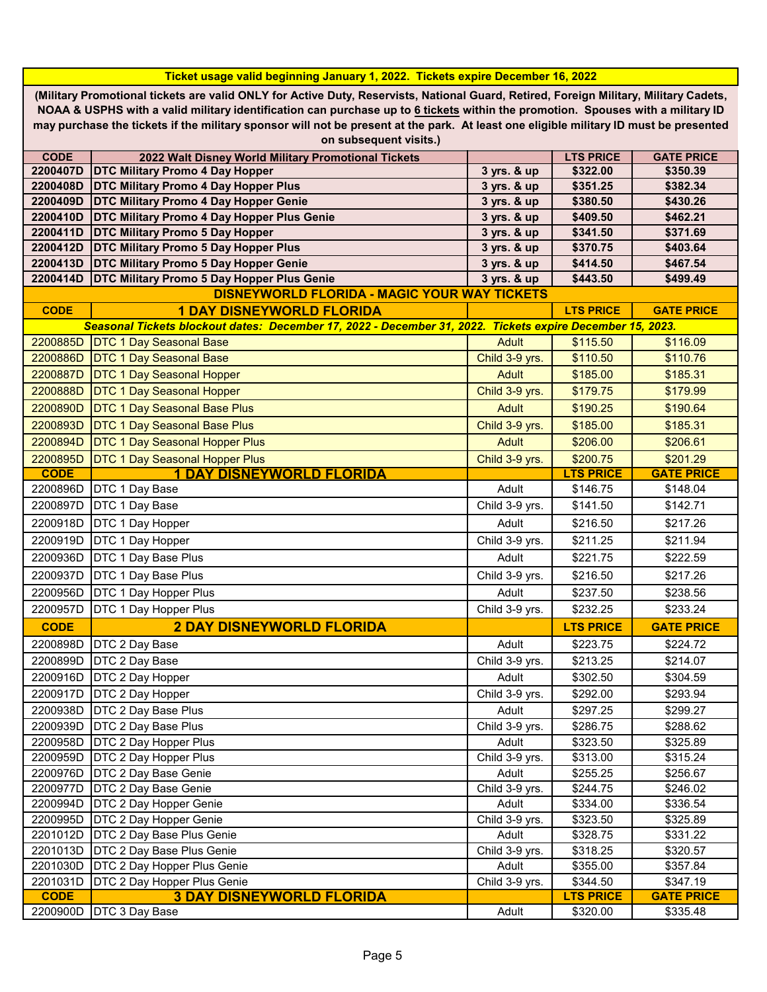|                                                                                                                                       | Ticket usage valid beginning January 1, 2022. Tickets expire December 16, 2022                                                        |                |                  |                   |
|---------------------------------------------------------------------------------------------------------------------------------------|---------------------------------------------------------------------------------------------------------------------------------------|----------------|------------------|-------------------|
|                                                                                                                                       | (Military Promotional tickets are valid ONLY for Active Duty, Reservists, National Guard, Retired, Foreign Military, Military Cadets, |                |                  |                   |
|                                                                                                                                       | NOAA & USPHS with a valid military identification can purchase up to 6 tickets within the promotion. Spouses with a military ID       |                |                  |                   |
| may purchase the tickets if the military sponsor will not be present at the park. At least one eligible military ID must be presented |                                                                                                                                       |                |                  |                   |
|                                                                                                                                       | on subsequent visits.)                                                                                                                |                |                  |                   |
| <b>CODE</b>                                                                                                                           | 2022 Walt Disney World Military Promotional Tickets                                                                                   |                | <b>LTS PRICE</b> | <b>GATE PRICE</b> |
| 2200407D                                                                                                                              | <b>DTC Military Promo 4 Day Hopper</b>                                                                                                | 3 yrs. & up    | \$322.00         | \$350.39          |
| 2200408D                                                                                                                              | <b>DTC Military Promo 4 Day Hopper Plus</b>                                                                                           | 3 yrs. & up    | \$351.25         | \$382.34          |
| 2200409D                                                                                                                              | <b>DTC Military Promo 4 Day Hopper Genie</b>                                                                                          | 3 yrs. & up    | \$380.50         | \$430.26          |
| 2200410D                                                                                                                              | <b>DTC Military Promo 4 Day Hopper Plus Genie</b>                                                                                     | 3 yrs. & up    | \$409.50         | \$462.21          |
| 2200411D                                                                                                                              | <b>DTC Military Promo 5 Day Hopper</b>                                                                                                | 3 yrs. & up    | \$341.50         | \$371.69          |
| 2200412D                                                                                                                              | <b>DTC Military Promo 5 Day Hopper Plus</b>                                                                                           | 3 yrs. & up    | \$370.75         | \$403.64          |
| 2200413D                                                                                                                              | <b>DTC Military Promo 5 Day Hopper Genie</b>                                                                                          | 3 yrs. & up    | \$414.50         | \$467.54          |
| 2200414D                                                                                                                              | <b>DTC Military Promo 5 Day Hopper Plus Genie</b>                                                                                     | 3 yrs. & up    | \$443.50         | \$499.49          |
|                                                                                                                                       | <b>DISNEYWORLD FLORIDA - MAGIC YOUR WAY TICKETS</b>                                                                                   |                |                  |                   |
| <b>CODE</b>                                                                                                                           | <b>1 DAY DISNEYWORLD FLORIDA</b>                                                                                                      |                | <b>LTS PRICE</b> | <b>GATE PRICE</b> |
|                                                                                                                                       | Seasonal Tickets blockout dates: December 17, 2022 - December 31, 2022. Tickets expire December 15, 2023.                             |                |                  |                   |
| 2200885D                                                                                                                              | DTC 1 Day Seasonal Base                                                                                                               | <b>Adult</b>   | \$115.50         | \$116.09          |
| 2200886D                                                                                                                              | <b>DTC 1 Day Seasonal Base</b>                                                                                                        | Child 3-9 yrs. | \$110.50         | \$110.76          |
| 2200887D                                                                                                                              | <b>DTC 1 Day Seasonal Hopper</b>                                                                                                      | <b>Adult</b>   | \$185.00         | \$185.31          |
| 2200888D                                                                                                                              | <b>DTC 1 Day Seasonal Hopper</b>                                                                                                      | Child 3-9 yrs. | \$179.75         | \$179.99          |
| 2200890D                                                                                                                              | <b>DTC 1 Day Seasonal Base Plus</b>                                                                                                   | <b>Adult</b>   | \$190.25         | \$190.64          |
| 2200893D                                                                                                                              | <b>DTC 1 Day Seasonal Base Plus</b>                                                                                                   | Child 3-9 yrs. | \$185.00         | \$185.31          |
| 2200894D                                                                                                                              | <b>DTC 1 Day Seasonal Hopper Plus</b>                                                                                                 | <b>Adult</b>   | \$206.00         | \$206.61          |
| 2200895D                                                                                                                              | <b>DTC 1 Day Seasonal Hopper Plus</b>                                                                                                 | Child 3-9 yrs. | \$200.75         | \$201.29          |
| <b>CODE</b>                                                                                                                           | <u>1 DAY DISNEYWORLD FLORIDA</u>                                                                                                      |                | <b>LTS PRICE</b> | <b>GATE PRICE</b> |
| 2200896D                                                                                                                              | DTC 1 Day Base                                                                                                                        | Adult          | \$146.75         | \$148.04          |
| 2200897D                                                                                                                              | DTC 1 Day Base                                                                                                                        | Child 3-9 yrs. | \$141.50         | \$142.71          |
| 2200918D                                                                                                                              | DTC 1 Day Hopper                                                                                                                      | Adult          | \$216.50         | \$217.26          |
| 2200919D                                                                                                                              | DTC 1 Day Hopper                                                                                                                      | Child 3-9 yrs. | \$211.25         | \$211.94          |
| 2200936D                                                                                                                              | DTC 1 Day Base Plus                                                                                                                   | Adult          | \$221.75         | \$222.59          |
| 2200937D                                                                                                                              | <b>DTC 1 Day Base Plus</b>                                                                                                            | Child 3-9 yrs. | \$216.50         | \$217.26          |
| 2200956D                                                                                                                              | DTC 1 Day Hopper Plus                                                                                                                 | Adult          | \$237.50         | \$238.56          |
| 2200957D                                                                                                                              | DTC 1 Day Hopper Plus                                                                                                                 | Child 3-9 yrs. | \$232.25         | \$233.24          |
| <b>CODE</b>                                                                                                                           | <b>2 DAY DISNEYWORLD FLORIDA</b>                                                                                                      |                | <b>LTS PRICE</b> | <b>GATE PRICE</b> |
| 2200898D                                                                                                                              | DTC 2 Day Base                                                                                                                        | Adult          | \$223.75         | \$224.72          |
| 2200899D                                                                                                                              | DTC 2 Day Base                                                                                                                        | Child 3-9 yrs. | \$213.25         | \$214.07          |
| 2200916D                                                                                                                              | DTC 2 Day Hopper                                                                                                                      | Adult          | \$302.50         | \$304.59          |
| 2200917D                                                                                                                              | DTC 2 Day Hopper                                                                                                                      | Child 3-9 yrs. | \$292.00         | \$293.94          |
| 2200938D                                                                                                                              | <b>DTC 2 Day Base Plus</b>                                                                                                            | Adult          | \$297.25         | \$299.27          |
| 2200939D                                                                                                                              | DTC 2 Day Base Plus                                                                                                                   | Child 3-9 yrs. | \$286.75         | \$288.62          |
| 2200958D                                                                                                                              | <b>DTC 2 Day Hopper Plus</b>                                                                                                          | Adult          | \$323.50         | \$325.89          |
| 2200959D                                                                                                                              | <b>DTC 2 Day Hopper Plus</b>                                                                                                          | Child 3-9 yrs. | \$313.00         | \$315.24          |
| 2200976D                                                                                                                              | DTC 2 Day Base Genie                                                                                                                  | Adult          | \$255.25         | \$256.67          |
| 2200977D                                                                                                                              | DTC 2 Day Base Genie                                                                                                                  | Child 3-9 yrs. | \$244.75         | \$246.02          |
| 2200994D                                                                                                                              | <b>DTC 2 Day Hopper Genie</b>                                                                                                         | Adult          | \$334.00         | \$336.54          |
| 2200995D                                                                                                                              | DTC 2 Day Hopper Genie                                                                                                                | Child 3-9 yrs. | \$323.50         | \$325.89          |
| 2201012D                                                                                                                              | DTC 2 Day Base Plus Genie                                                                                                             | Adult          | \$328.75         | \$331.22          |
| 2201013D                                                                                                                              | DTC 2 Day Base Plus Genie                                                                                                             | Child 3-9 yrs. | \$318.25         | \$320.57          |
| 2201030D                                                                                                                              | DTC 2 Day Hopper Plus Genie                                                                                                           | Adult          | \$355.00         | \$357.84          |
| 2201031D                                                                                                                              | DTC 2 Day Hopper Plus Genie                                                                                                           | Child 3-9 yrs. | \$344.50         | \$347.19          |
| <b>CODE</b>                                                                                                                           | <b>3 DAY DISNEYWORLD FLORIDA</b>                                                                                                      |                | <b>LTS PRICE</b> | <b>GATE PRICE</b> |
| 2200900D                                                                                                                              | DTC 3 Day Base                                                                                                                        | Adult          | \$320.00         | \$335.48          |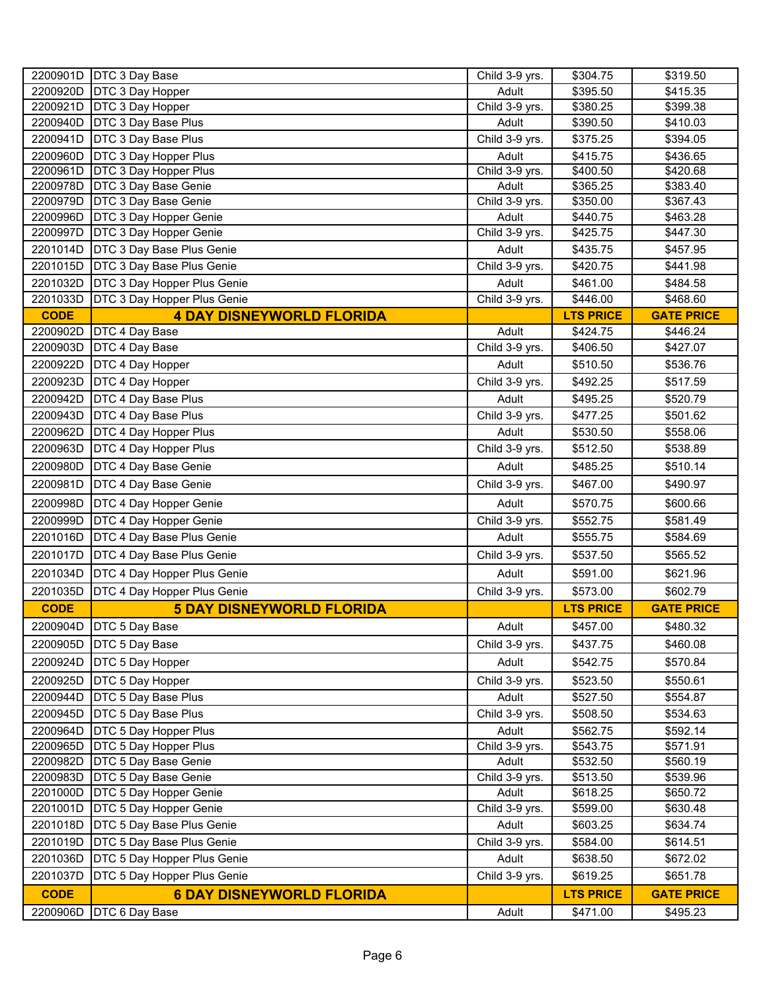| 2200901D    | DTC 3 Day Base                   | Child 3-9 yrs. | \$304.75         | \$319.50          |
|-------------|----------------------------------|----------------|------------------|-------------------|
| 2200920D    | <b>DTC 3 Day Hopper</b>          | Adult          | \$395.50         | \$415.35          |
| 2200921D    | DTC 3 Day Hopper                 | Child 3-9 yrs. | \$380.25         | \$399.38          |
| 2200940D    | DTC 3 Day Base Plus              | Adult          | \$390.50         | \$410.03          |
| 2200941D    | DTC 3 Day Base Plus              | Child 3-9 yrs. | \$375.25         | \$394.05          |
| 2200960D    | DTC 3 Day Hopper Plus            | Adult          | \$415.75         | \$436.65          |
| 2200961D    | DTC 3 Day Hopper Plus            | Child 3-9 yrs. | \$400.50         | \$420.68          |
| 2200978D    | DTC 3 Day Base Genie             | Adult          | \$365.25         | \$383.40          |
| 2200979D    | DTC 3 Day Base Genie             | Child 3-9 yrs. | \$350.00         | \$367.43          |
| 2200996D    | DTC 3 Day Hopper Genie           | Adult          | \$440.75         | \$463.28          |
| 2200997D    | DTC 3 Day Hopper Genie           | Child 3-9 yrs. | \$425.75         | \$447.30          |
| 2201014D    | DTC 3 Day Base Plus Genie        | Adult          | \$435.75         | \$457.95          |
| 2201015D    | DTC 3 Day Base Plus Genie        | Child 3-9 yrs. | \$420.75         | \$441.98          |
| 2201032D    | DTC 3 Day Hopper Plus Genie      | Adult          | \$461.00         | \$484.58          |
| 2201033D    | DTC 3 Day Hopper Plus Genie      | Child 3-9 yrs. | \$446.00         | \$468.60          |
| <b>CODE</b> | <b>4 DAY DISNEYWORLD FLORIDA</b> |                | <b>LTS PRICE</b> | <b>GATE PRICE</b> |
| 2200902D    | DTC 4 Day Base                   | Adult          | \$424.75         | \$446.24          |
| 2200903D    | DTC 4 Day Base                   | Child 3-9 yrs. | \$406.50         | \$427.07          |
| 2200922D    | DTC 4 Day Hopper                 | Adult          | \$510.50         | \$536.76          |
| 2200923D    | DTC 4 Day Hopper                 | Child 3-9 yrs. | \$492.25         | \$517.59          |
| 2200942D    | DTC 4 Day Base Plus              | Adult          | \$495.25         | \$520.79          |
| 2200943D    | DTC 4 Day Base Plus              | Child 3-9 yrs. | \$477.25         | \$501.62          |
| 2200962D    | DTC 4 Day Hopper Plus            | Adult          | \$530.50         | \$558.06          |
| 2200963D    | <b>DTC 4 Day Hopper Plus</b>     | Child 3-9 yrs. | \$512.50         | \$538.89          |
| 2200980D    | DTC 4 Day Base Genie             | Adult          | \$485.25         | \$510.14          |
| 2200981D    | DTC 4 Day Base Genie             | Child 3-9 yrs. | \$467.00         | \$490.97          |
| 2200998D    | DTC 4 Day Hopper Genie           | Adult          | \$570.75         | \$600.66          |
| 2200999D    | DTC 4 Day Hopper Genie           | Child 3-9 yrs. | \$552.75         | \$581.49          |
| 2201016D    | DTC 4 Day Base Plus Genie        | Adult          | \$555.75         | \$584.69          |
| 2201017D    | DTC 4 Day Base Plus Genie        | Child 3-9 yrs. | \$537.50         | \$565.52          |
| 2201034D    | DTC 4 Day Hopper Plus Genie      | Adult          | \$591.00         | \$621.96          |
| 2201035D    | DTC 4 Day Hopper Plus Genie      | Child 3-9 yrs. | \$573.00         | \$602.79          |
| <b>CODE</b> | <b>5 DAY DISNEYWORLD FLORIDA</b> |                | <b>LTS PRICE</b> | <b>GATE PRICE</b> |
|             | 2200904D   DTC 5 Day Base        | Adult          | \$457.00         | \$480.32          |
| 2200905D    | DTC 5 Day Base                   | Child 3-9 yrs. | \$437.75         | \$460.08          |
| 2200924D    | DTC 5 Day Hopper                 | Adult          | \$542.75         | \$570.84          |
| 2200925D    | DTC 5 Day Hopper                 | Child 3-9 yrs. | \$523.50         | \$550.61          |
| 2200944D    | <b>DTC 5 Day Base Plus</b>       | Adult          | \$527.50         | \$554.87          |
| 2200945D    | DTC 5 Day Base Plus              | Child 3-9 yrs. | \$508.50         | \$534.63          |
| 2200964D    | DTC 5 Day Hopper Plus            | Adult          | \$562.75         | \$592.14          |
| 2200965D    | <b>DTC 5 Day Hopper Plus</b>     | Child 3-9 yrs. | \$543.75         | \$571.91          |
| 2200982D    | DTC 5 Day Base Genie             | Adult          | \$532.50         | \$560.19          |
| 2200983D    | DTC 5 Day Base Genie             | Child 3-9 yrs. | \$513.50         | \$539.96          |
| 2201000D    | DTC 5 Day Hopper Genie           | Adult          | \$618.25         | \$650.72          |
| 2201001D    | DTC 5 Day Hopper Genie           | Child 3-9 yrs. | \$599.00         | \$630.48          |
| 2201018D    | DTC 5 Day Base Plus Genie        | Adult          | \$603.25         | \$634.74          |
| 2201019D    | DTC 5 Day Base Plus Genie        | Child 3-9 yrs. | \$584.00         | \$614.51          |
| 2201036D    | DTC 5 Day Hopper Plus Genie      | Adult          | \$638.50         | \$672.02          |
| 2201037D    | DTC 5 Day Hopper Plus Genie      | Child 3-9 yrs. | \$619.25         | \$651.78          |
| <b>CODE</b> | <b>6 DAY DISNEYWORLD FLORIDA</b> |                | <b>LTS PRICE</b> | <b>GATE PRICE</b> |
| 2200906D    | DTC 6 Day Base                   | Adult          | \$471.00         | \$495.23          |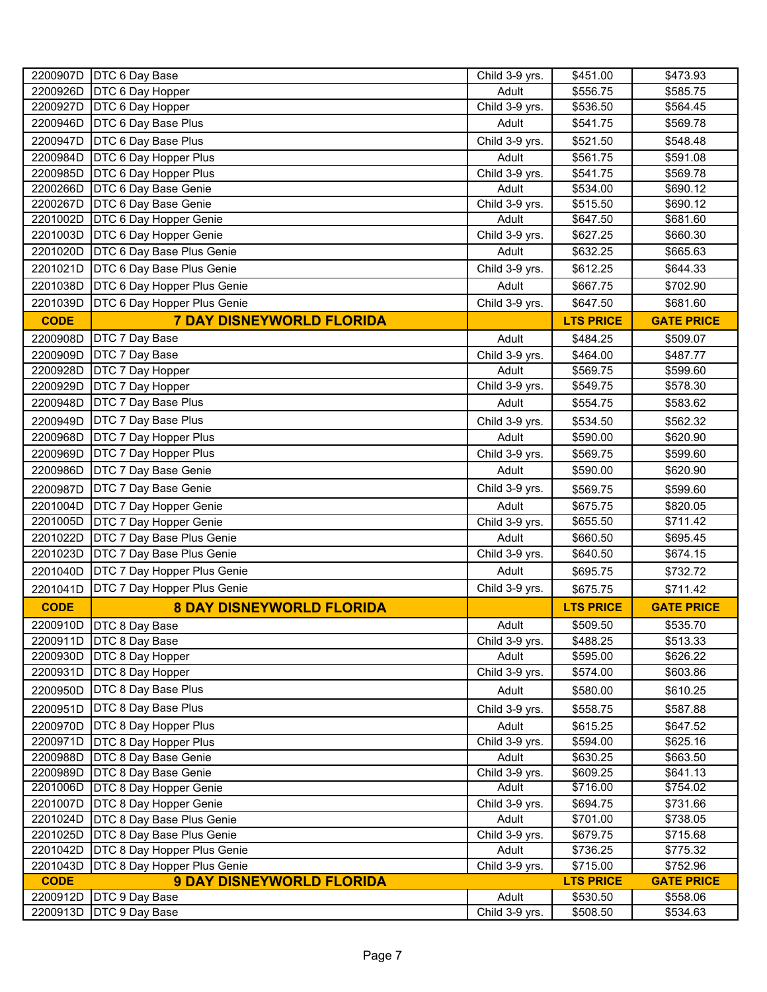| 2200907D    | <b>DTC 6 Day Base</b>              | Child 3-9 yrs. | \$451.00         | \$473.93          |
|-------------|------------------------------------|----------------|------------------|-------------------|
| 2200926D    | <b>DTC 6 Day Hopper</b>            | Adult          | \$556.75         | \$585.75          |
| 2200927D    | <b>DTC 6 Day Hopper</b>            | Child 3-9 yrs. | \$536.50         | \$564.45          |
| 2200946D    | DTC 6 Day Base Plus                | Adult          | \$541.75         | \$569.78          |
| 2200947D    | DTC 6 Day Base Plus                | Child 3-9 yrs. | \$521.50         | \$548.48          |
| 2200984D    | <b>DTC 6 Day Hopper Plus</b>       | Adult          | \$561.75         | \$591.08          |
| 2200985D    | <b>DTC 6 Day Hopper Plus</b>       | Child 3-9 yrs. | \$541.75         | \$569.78          |
| 2200266D    | DTC 6 Day Base Genie               | Adult          | \$534.00         | \$690.12          |
| 2200267D    | <b>DTC 6 Day Base Genie</b>        | Child 3-9 yrs. | \$515.50         | \$690.12          |
| 2201002D    | DTC 6 Day Hopper Genie             | Adult          | \$647.50         | \$681.60          |
| 2201003D    | <b>DTC 6 Day Hopper Genie</b>      | Child 3-9 yrs. | \$627.25         | \$660.30          |
| 2201020D    | DTC 6 Day Base Plus Genie          | Adult          | \$632.25         | \$665.63          |
| 2201021D    | DTC 6 Day Base Plus Genie          | Child 3-9 yrs. | \$612.25         | \$644.33          |
| 2201038D    | DTC 6 Day Hopper Plus Genie        | Adult          | \$667.75         | \$702.90          |
| 2201039D    | DTC 6 Day Hopper Plus Genie        | Child 3-9 yrs. | \$647.50         | \$681.60          |
|             |                                    |                |                  |                   |
| <b>CODE</b> | <b>7 DAY DISNEYWORLD FLORIDA</b>   |                | <b>LTS PRICE</b> | <b>GATE PRICE</b> |
| 2200908D    | <b>DTC 7 Day Base</b>              | Adult          | \$484.25         | \$509.07          |
| 2200909D    | <b>DTC 7 Day Base</b>              | Child 3-9 yrs. | \$464.00         | \$487.77          |
| 2200928D    | <b>DTC 7 Day Hopper</b>            | Adult          | \$569.75         | \$599.60          |
| 2200929D    | <b>DTC 7 Day Hopper</b>            | Child 3-9 yrs. | \$549.75         | \$578.30          |
| 2200948D    | <b>DTC 7 Day Base Plus</b>         | Adult          | \$554.75         | \$583.62          |
| 2200949D    | <b>DTC 7 Day Base Plus</b>         | Child 3-9 yrs. | \$534.50         | \$562.32          |
| 2200968D    | <b>DTC 7 Day Hopper Plus</b>       | Adult          | \$590.00         | \$620.90          |
| 2200969D    | <b>DTC 7 Day Hopper Plus</b>       | Child 3-9 yrs. | \$569.75         | \$599.60          |
| 2200986D    | <b>DTC 7 Day Base Genie</b>        | Adult          | \$590.00         | \$620.90          |
| 2200987D    | <b>DTC 7 Day Base Genie</b>        | Child 3-9 yrs. | \$569.75         | \$599.60          |
| 2201004D    | <b>DTC 7 Day Hopper Genie</b>      | Adult          | \$675.75         | \$820.05          |
| 2201005D    | <b>DTC 7 Day Hopper Genie</b>      | Child 3-9 yrs. | \$655.50         | \$711.42          |
| 2201022D    | DTC 7 Day Base Plus Genie          | Adult          | \$660.50         | \$695.45          |
| 2201023D    | DTC 7 Day Base Plus Genie          | Child 3-9 yrs. | \$640.50         | \$674.15          |
| 2201040D    | <b>DTC 7 Day Hopper Plus Genie</b> | Adult          | \$695.75         | \$732.72          |
| 2201041D    | <b>DTC 7 Day Hopper Plus Genie</b> | Child 3-9 yrs. | \$675.75         | \$711.42          |
| <b>CODE</b> | <b>8 DAY DISNEYWORLD FLORIDA</b>   |                | <b>LTS PRICE</b> | <b>GATE PRICE</b> |
|             | 2200910D   DTC 8 Day Base          | Adult          | \$509.50         | \$535.70          |
|             | 2200911D   DTC 8 Day Base          | Child 3-9 yrs. | \$488.25         | \$513.33          |
| 2200930D    | <b>DTC 8 Day Hopper</b>            | Adult          | \$595.00         | \$626.22          |
| 2200931D    | DTC 8 Day Hopper                   | Child 3-9 yrs. | \$574.00         | \$603.86          |
| 2200950D    | <b>DTC 8 Day Base Plus</b>         | Adult          | \$580.00         | \$610.25          |
| 2200951D    | <b>DTC 8 Day Base Plus</b>         | Child 3-9 yrs. | \$558.75         | \$587.88          |
| 2200970D    | DTC 8 Day Hopper Plus              | Adult          | \$615.25         | \$647.52          |
| 2200971D    | <b>DTC 8 Day Hopper Plus</b>       | Child 3-9 yrs. | \$594.00         | $\sqrt{$625.16}$  |
| 2200988D    | DTC 8 Day Base Genie               | Adult          | \$630.25         | \$663.50          |
| 2200989D    | DTC 8 Day Base Genie               | Child 3-9 yrs. | \$609.25         | \$641.13          |
| 2201006D    | DTC 8 Day Hopper Genie             | Adult          | \$716.00         | \$754.02          |
| 2201007D    | DTC 8 Day Hopper Genie             | Child 3-9 yrs. | \$694.75         | \$731.66          |
| 2201024D    | DTC 8 Day Base Plus Genie          | Adult          | \$701.00         | \$738.05          |
| 2201025D    | DTC 8 Day Base Plus Genie          | Child 3-9 yrs. | \$679.75         | \$715.68          |
| 2201042D    | DTC 8 Day Hopper Plus Genie        | Adult          | \$736.25         | \$775.32          |
| 2201043D    | DTC 8 Day Hopper Plus Genie        | Child 3-9 yrs. | \$715.00         | \$752.96          |
| <b>CODE</b> | <b>9 DAY DISNEYWORLD FLORIDA</b>   |                | <b>LTS PRICE</b> | <b>GATE PRICE</b> |
| 2200912D    | DTC 9 Day Base                     | Adult          | \$530.50         | \$558.06          |
| 2200913D    | DTC 9 Day Base                     | Child 3-9 yrs. | \$508.50         | \$534.63          |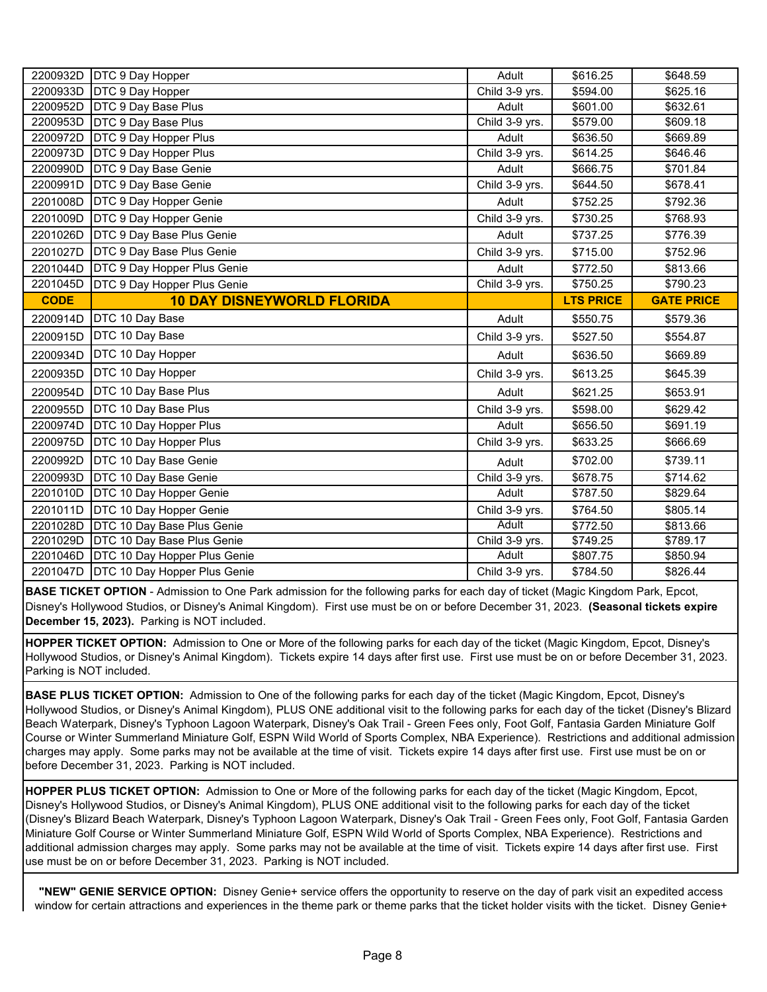| 2200932D    | <b>DTC 9 Day Hopper</b>            | Adult          | \$616.25         | \$648.59          |
|-------------|------------------------------------|----------------|------------------|-------------------|
| 2200933D    | <b>DTC 9 Day Hopper</b>            | Child 3-9 yrs. | \$594.00         | \$625.16          |
| 2200952D    | <b>DTC 9 Day Base Plus</b>         | Adult          | \$601.00         | \$632.61          |
| 2200953D    | DTC 9 Day Base Plus                | Child 3-9 yrs. | \$579.00         | \$609.18          |
| 2200972D    | <b>DTC 9 Day Hopper Plus</b>       | Adult          | \$636.50         | \$669.89          |
| 2200973D    | <b>DTC 9 Day Hopper Plus</b>       | Child 3-9 yrs. | \$614.25         | \$646.46          |
| 2200990D    | DTC 9 Day Base Genie               | Adult          | \$666.75         | \$701.84          |
| 2200991D    | DTC 9 Day Base Genie               | Child 3-9 yrs. | \$644.50         | \$678.41          |
| 2201008D    | <b>DTC 9 Day Hopper Genie</b>      | Adult          | \$752.25         | \$792.36          |
| 2201009D    | <b>DTC 9 Day Hopper Genie</b>      | Child 3-9 yrs. | \$730.25         | \$768.93          |
| 2201026D    | DTC 9 Day Base Plus Genie          | Adult          | \$737.25         | \$776.39          |
| 2201027D    | DTC 9 Day Base Plus Genie          | Child 3-9 yrs. | \$715.00         | \$752.96          |
| 2201044D    | <b>DTC 9 Day Hopper Plus Genie</b> | Adult          | \$772.50         | \$813.66          |
| 2201045D    | DTC 9 Day Hopper Plus Genie        | Child 3-9 yrs. | \$750.25         | \$790.23          |
| <b>CODE</b> | <b>10 DAY DISNEYWORLD FLORIDA</b>  |                | <b>LTS PRICE</b> | <b>GATE PRICE</b> |
| 2200914D    | DTC 10 Day Base                    | Adult          | \$550.75         | \$579.36          |
| 2200915D    | DTC 10 Day Base                    | Child 3-9 yrs. | \$527.50         | \$554.87          |
| 2200934D    | DTC 10 Day Hopper                  | Adult          | \$636.50         | \$669.89          |
| 2200935D    | DTC 10 Day Hopper                  | Child 3-9 yrs. | \$613.25         | \$645.39          |
| 2200954D    | DTC 10 Day Base Plus               | Adult          | \$621.25         | \$653.91          |
| 2200955D    | DTC 10 Day Base Plus               | Child 3-9 yrs. | \$598.00         | \$629.42          |
| 2200974D    | DTC 10 Day Hopper Plus             | Adult          | \$656.50         | \$691.19          |
| 2200975D    | DTC 10 Day Hopper Plus             | Child 3-9 yrs. | \$633.25         | \$666.69          |
| 2200992D    | DTC 10 Day Base Genie              | Adult          | \$702.00         | \$739.11          |
| 2200993D    | DTC 10 Day Base Genie              | Child 3-9 yrs. | \$678.75         | \$714.62          |
| 2201010D    | DTC 10 Day Hopper Genie            | Adult          | \$787.50         | \$829.64          |
| 2201011D    | DTC 10 Day Hopper Genie            | Child 3-9 yrs. | \$764.50         | \$805.14          |
| 2201028D    | DTC 10 Day Base Plus Genie         | Adult          | \$772.50         | \$813.66          |
| 2201029D    | DTC 10 Day Base Plus Genie         | Child 3-9 yrs. | \$749.25         | \$789.17          |
| 2201046D    | DTC 10 Day Hopper Plus Genie       | Adult          | \$807.75         | \$850.94          |
| 2201047D    | DTC 10 Day Hopper Plus Genie       | Child 3-9 yrs. | \$784.50         | \$826.44          |

**BASE TICKET OPTION** - Admission to One Park admission for the following parks for each day of ticket (Magic Kingdom Park, Epcot, Disney's Hollywood Studios, or Disney's Animal Kingdom). First use must be on or before December 31, 2023. **(Seasonal tickets expire December 15, 2023).** Parking is NOT included.

**HOPPER TICKET OPTION:** Admission to One or More of the following parks for each day of the ticket (Magic Kingdom, Epcot, Disney's Hollywood Studios, or Disney's Animal Kingdom). Tickets expire 14 days after first use. First use must be on or before December 31, 2023. Parking is NOT included.

**BASE PLUS TICKET OPTION:** Admission to One of the following parks for each day of the ticket (Magic Kingdom, Epcot, Disney's Hollywood Studios, or Disney's Animal Kingdom), PLUS ONE additional visit to the following parks for each day of the ticket (Disney's Blizard Beach Waterpark, Disney's Typhoon Lagoon Waterpark, Disney's Oak Trail - Green Fees only, Foot Golf, Fantasia Garden Miniature Golf Course or Winter Summerland Miniature Golf, ESPN Wild World of Sports Complex, NBA Experience). Restrictions and additional admission charges may apply. Some parks may not be available at the time of visit. Tickets expire 14 days after first use. First use must be on or before December 31, 2023. Parking is NOT included.

**HOPPER PLUS TICKET OPTION:** Admission to One or More of the following parks for each day of the ticket (Magic Kingdom, Epcot, Disney's Hollywood Studios, or Disney's Animal Kingdom), PLUS ONE additional visit to the following parks for each day of the ticket (Disney's Blizard Beach Waterpark, Disney's Typhoon Lagoon Waterpark, Disney's Oak Trail - Green Fees only, Foot Golf, Fantasia Garden Miniature Golf Course or Winter Summerland Miniature Golf, ESPN Wild World of Sports Complex, NBA Experience). Restrictions and additional admission charges may apply. Some parks may not be available at the time of visit. Tickets expire 14 days after first use. First use must be on or before December 31, 2023. Parking is NOT included.

**"NEW" GENIE SERVICE OPTION:** Disney Genie+ service offers the opportunity to reserve on the day of park visit an expedited access window for certain attractions and experiences in the theme park or theme parks that the ticket holder visits with the ticket. Disney Genie+